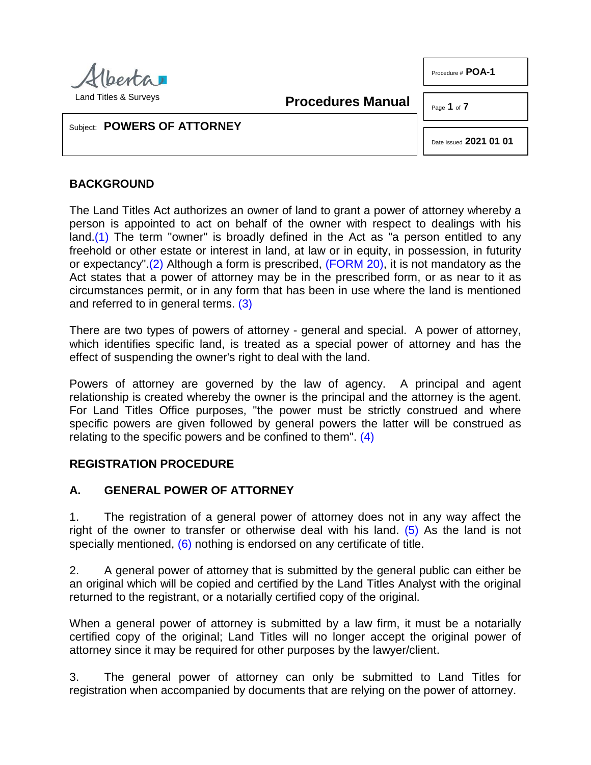

Procedure # **POA-1**

**Procedures Manual**

Page **1** of **7**

Subject: **POWERS OF ATTORNEY**

Date Issued **2021 01 01**

### **BACKGROUND**

<span id="page-0-1"></span><span id="page-0-0"></span>The Land Titles Act authorizes an owner of land to grant a power of attorney whereby a person is appointed to act on behalf of the owner with respect to dealings with his land[.\(1\)](#page-5-0) The term "owner" is broadly defined in the Act as "a person entitled to any freehold or other estate or interest in land, at law or in equity, in possession, in futurity or expectancy"[.\(2\)](#page-5-1) Although a form is prescribed, [\(FORM 20\),](http://www.servicealberta.ca/pdf/ltmanual/FORM20.PDF) it is not mandatory as the Act states that a power of attorney may be in the prescribed form, or as near to it as circumstances permit, or in any form that has been in use where the land is mentioned and referred to in general terms. [\(3\)](#page-5-2)

<span id="page-0-2"></span>There are two types of powers of attorney - general and special. A power of attorney, which identifies specific land, is treated as a special power of attorney and has the effect of suspending the owner's right to deal with the land.

Powers of attorney are governed by the law of agency. A principal and agent relationship is created whereby the owner is the principal and the attorney is the agent. For Land Titles Office purposes, "the power must be strictly construed and where specific powers are given followed by general powers the latter will be construed as relating to the specific powers and be confined to them". [\(4\)](#page-5-3)

#### <span id="page-0-3"></span>**REGISTRATION PROCEDURE**

#### **A. GENERAL POWER OF ATTORNEY**

<span id="page-0-5"></span><span id="page-0-4"></span>1. The registration of a general power of attorney does not in any way affect the right of the owner to transfer or otherwise deal with his land.  $(5)$  As the land is not specially mentioned, [\(6\)](#page-5-5) nothing is endorsed on any certificate of title.

2. A general power of attorney that is submitted by the general public can either be an original which will be copied and certified by the Land Titles Analyst with the original returned to the registrant, or a notarially certified copy of the original.

When a general power of attorney is submitted by a law firm, it must be a notarially certified copy of the original; Land Titles will no longer accept the original power of attorney since it may be required for other purposes by the lawyer/client.

3. The general power of attorney can only be submitted to Land Titles for registration when accompanied by documents that are relying on the power of attorney.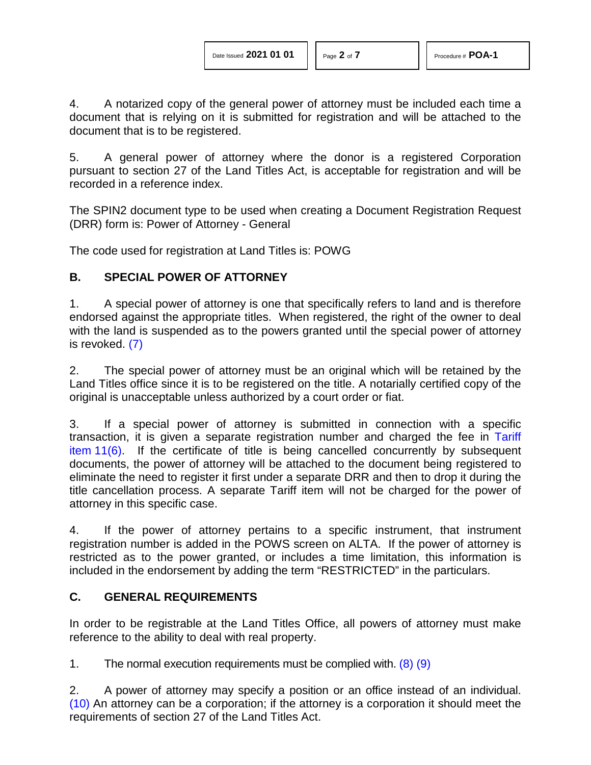4. A notarized copy of the general power of attorney must be included each time a document that is relying on it is submitted for registration and will be attached to the document that is to be registered.

5. A general power of attorney where the donor is a registered Corporation pursuant to section 27 of the Land Titles Act, is acceptable for registration and will be recorded in a reference index.

The SPIN2 document type to be used when creating a Document Registration Request (DRR) form is: Power of Attorney - General

The code used for registration at Land Titles is: POWG

#### **B. SPECIAL POWER OF ATTORNEY**

1. A special power of attorney is one that specifically refers to land and is therefore endorsed against the appropriate titles. When registered, the right of the owner to deal with the land is suspended as to the powers granted until the special power of attorney is revoked. [\(7\)](#page-5-6)

<span id="page-1-0"></span>2. The special power of attorney must be an original which will be retained by the Land Titles office since it is to be registered on the title. A notarially certified copy of the original is unacceptable unless authorized by a court order or fiat.

3. If a special power of attorney is submitted in connection with a specific transaction, it is given a separate registration number and charged the fee in [Tariff](http://www.servicealberta.ca/pdf/ltmanual/APPENDIXI.PDF)  item [11\(6\).](http://www.servicealberta.ca/pdf/ltmanual/APPENDIXI.PDF) If the certificate of title is being cancelled concurrently by subsequent documents, the power of attorney will be attached to the document being registered to eliminate the need to register it first under a separate DRR and then to drop it during the title cancellation process. A separate Tariff item will not be charged for the power of attorney in this specific case.

4. If the power of attorney pertains to a specific instrument, that instrument registration number is added in the POWS screen on ALTA. If the power of attorney is restricted as to the power granted, or includes a time limitation, this information is included in the endorsement by adding the term "RESTRICTED" in the particulars.

#### **C. GENERAL REQUIREMENTS**

In order to be registrable at the Land Titles Office, all powers of attorney must make reference to the ability to deal with real property.

<span id="page-1-2"></span><span id="page-1-1"></span>1. The normal execution requirements must be complied with.  $(8)$   $(9)$ 

<span id="page-1-3"></span>2. A power of attorney may specify a position or an office instead of an individual. [\(10\)](#page-5-9) An attorney can be a corporation; if the attorney is a corporation it should meet the requirements of section 27 of the Land Titles Act.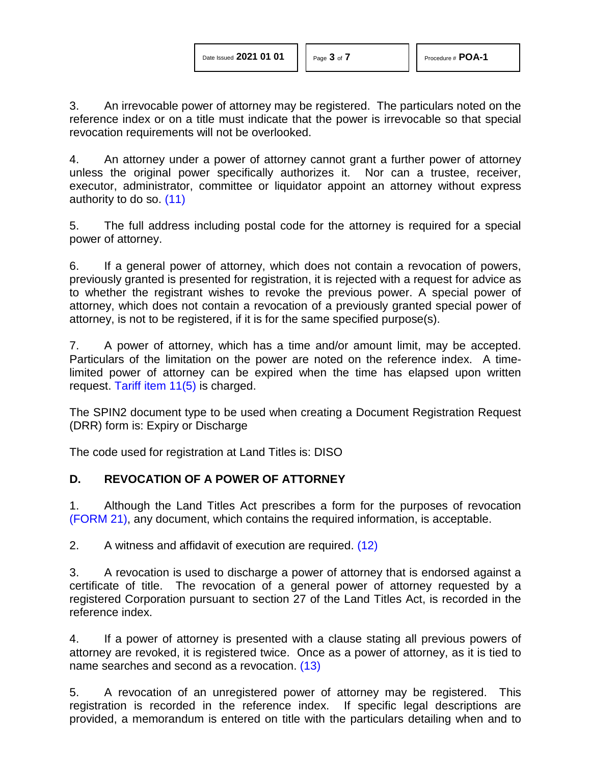3. An irrevocable power of attorney may be registered. The particulars noted on the reference index or on a title must indicate that the power is irrevocable so that special revocation requirements will not be overlooked.

4. An attorney under a power of attorney cannot grant a further power of attorney unless the original power specifically authorizes it. Nor can a trustee, receiver, executor, administrator, committee or liquidator appoint an attorney without express authority to do so. [\(11\)](#page-5-10)

<span id="page-2-0"></span>5. The full address including postal code for the attorney is required for a special power of attorney.

6. If a general power of attorney, which does not contain a revocation of powers, previously granted is presented for registration, it is rejected with a request for advice as to whether the registrant wishes to revoke the previous power. A special power of attorney, which does not contain a revocation of a previously granted special power of attorney, is not to be registered, if it is for the same specified purpose(s).

7. A power of attorney, which has a time and/or amount limit, may be accepted. Particulars of the limitation on the power are noted on the reference index. A timelimited power of attorney can be expired when the time has elapsed upon written request. [Tariff item 11\(5\)](http://www.servicealberta.ca/pdf/ltmanual/APPENDIXI.PDF) is charged.

The SPIN2 document type to be used when creating a Document Registration Request (DRR) form is: Expiry or Discharge

The code used for registration at Land Titles is: DISO

#### **D. REVOCATION OF A POWER OF ATTORNEY**

1. Although the Land Titles Act prescribes a form for the purposes of revocation [\(FORM 21\),](http://www.servicealberta.ca/pdf/ltmanual/FORM21.PDF) any document, which contains the required information, is acceptable.

<span id="page-2-1"></span>2. A witness and affidavit of execution are required. [\(12\)](#page-5-11)

3. A revocation is used to discharge a power of attorney that is endorsed against a certificate of title. The revocation of a general power of attorney requested by a registered Corporation pursuant to section 27 of the Land Titles Act, is recorded in the reference index.

<span id="page-2-2"></span>4. If a power of attorney is presented with a clause stating all previous powers of attorney are revoked, it is registered twice. Once as a power of attorney, as it is tied to name searches and second as a revocation. [\(13\)](#page-5-12)

5. A revocation of an unregistered power of attorney may be registered. This registration is recorded in the reference index. If specific legal descriptions are provided, a memorandum is entered on title with the particulars detailing when and to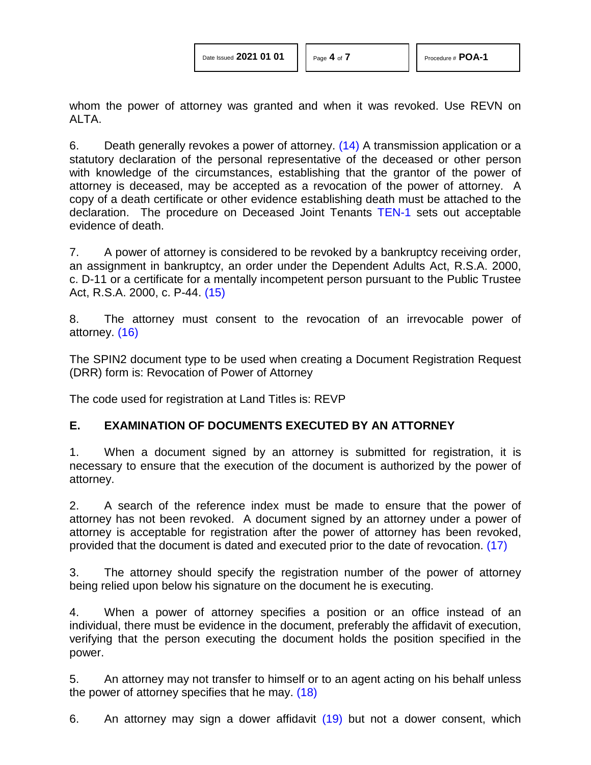whom the power of attorney was granted and when it was revoked. Use REVN on ALTA.

<span id="page-3-0"></span>6. Death generally revokes a power of attorney. [\(14\)](#page-5-13) A transmission application or a statutory declaration of the personal representative of the deceased or other person with knowledge of the circumstances, establishing that the grantor of the power of attorney is deceased, may be accepted as a revocation of the power of attorney. A copy of a death certificate or other evidence establishing death must be attached to the declaration. The procedure on Deceased Joint Tenants [TEN-1](http://www.servicealberta.ca/pdf/ltmanual/TEN-1.PDF) sets out acceptable evidence of death.

7. A power of attorney is considered to be revoked by a bankruptcy receiving order, an assignment in bankruptcy, an order under the Dependent Adults Act, R.S.A. 2000, c. D-11 or a certificate for a mentally incompetent person pursuant to the Public Trustee Act, R.S.A. 2000, c. P-44. [\(15\)](#page-6-0)

<span id="page-3-2"></span><span id="page-3-1"></span>8. The attorney must consent to the revocation of an irrevocable power of attorney. [\(16\)](#page-6-1)

The SPIN2 document type to be used when creating a Document Registration Request (DRR) form is: Revocation of Power of Attorney

The code used for registration at Land Titles is: REVP

#### **E. EXAMINATION OF DOCUMENTS EXECUTED BY AN ATTORNEY**

1. When a document signed by an attorney is submitted for registration, it is necessary to ensure that the execution of the document is authorized by the power of attorney.

2. A search of the reference index must be made to ensure that the power of attorney has not been revoked. A document signed by an attorney under a power of attorney is acceptable for registration after the power of attorney has been revoked, provided that the document is dated and executed prior to the date of revocation. [\(17\)](#page-6-2)

<span id="page-3-3"></span>3. The attorney should specify the registration number of the power of attorney being relied upon below his signature on the document he is executing.

4. When a power of attorney specifies a position or an office instead of an individual, there must be evidence in the document, preferably the affidavit of execution, verifying that the person executing the document holds the position specified in the power.

<span id="page-3-4"></span>5. An attorney may not transfer to himself or to an agent acting on his behalf unless the power of attorney specifies that he may. [\(18\)](#page-6-3)

<span id="page-3-5"></span>6. An attorney may sign a dower affidavit [\(19\)](#page-6-4) but not a dower consent, which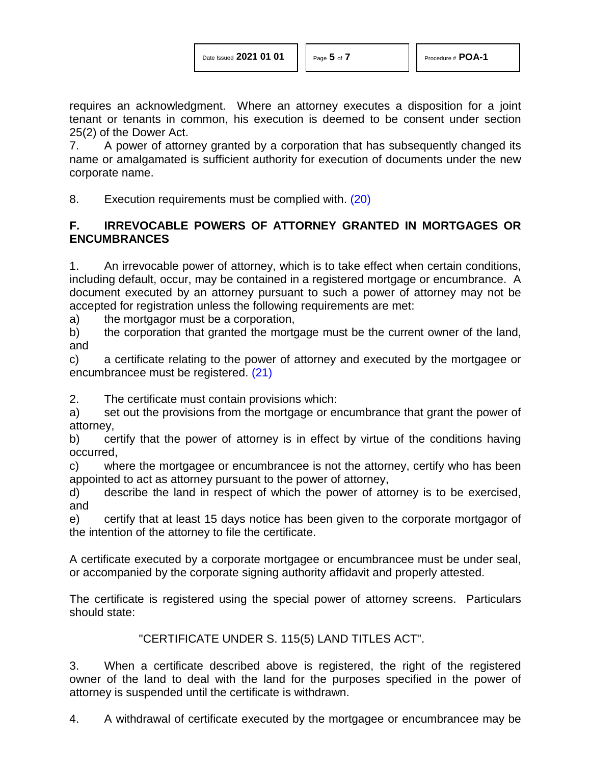requires an acknowledgment. Where an attorney executes a disposition for a joint tenant or tenants in common, his execution is deemed to be consent under section 25(2) of the Dower Act.

7. A power of attorney granted by a corporation that has subsequently changed its name or amalgamated is sufficient authority for execution of documents under the new corporate name.

<span id="page-4-0"></span>8. Execution requirements must be complied with. [\(20\)](#page-6-5)

## **F. IRREVOCABLE POWERS OF ATTORNEY GRANTED IN MORTGAGES OR ENCUMBRANCES**

1. An irrevocable power of attorney, which is to take effect when certain conditions, including default, occur, may be contained in a registered mortgage or encumbrance. A document executed by an attorney pursuant to such a power of attorney may not be accepted for registration unless the following requirements are met:

a) the mortgagor must be a corporation,

b) the corporation that granted the mortgage must be the current owner of the land, and

<span id="page-4-1"></span>c) a certificate relating to the power of attorney and executed by the mortgagee or encumbrancee must be registered. [\(21\)](#page-6-6)

2. The certificate must contain provisions which:

a) set out the provisions from the mortgage or encumbrance that grant the power of attorney,

b) certify that the power of attorney is in effect by virtue of the conditions having occurred,

c) where the mortgagee or encumbrancee is not the attorney, certify who has been appointed to act as attorney pursuant to the power of attorney,

d) describe the land in respect of which the power of attorney is to be exercised, and

e) certify that at least 15 days notice has been given to the corporate mortgagor of the intention of the attorney to file the certificate.

A certificate executed by a corporate mortgagee or encumbrancee must be under seal, or accompanied by the corporate signing authority affidavit and properly attested.

The certificate is registered using the special power of attorney screens. Particulars should state:

#### "CERTIFICATE UNDER S. 115(5) LAND TITLES ACT".

3. When a certificate described above is registered, the right of the registered owner of the land to deal with the land for the purposes specified in the power of attorney is suspended until the certificate is withdrawn.

4. A withdrawal of certificate executed by the mortgagee or encumbrancee may be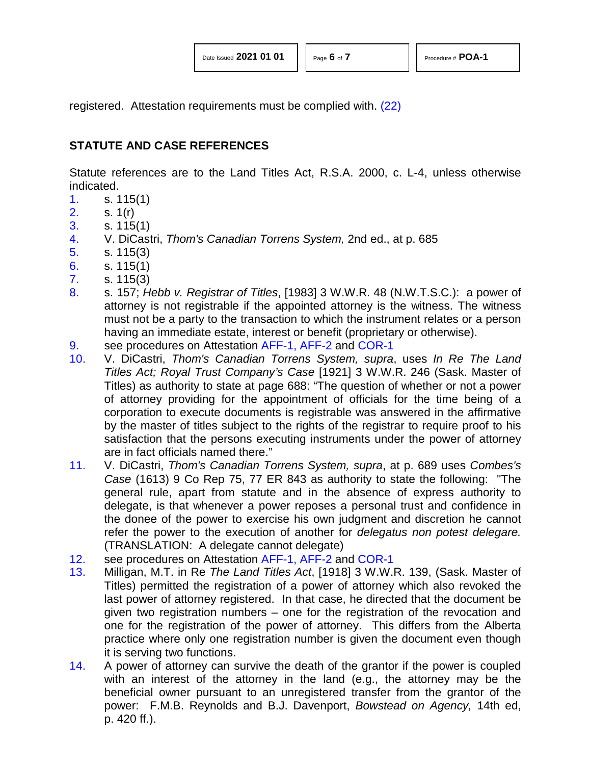<span id="page-5-14"></span>

registered. Attestation requirements must be complied with. [\(22\)](#page-6-7)

# **STATUTE AND CASE REFERENCES**

Statute references are to the Land Titles Act, R.S.A. 2000, c. L-4, unless otherwise indicated.

- <span id="page-5-0"></span>[1.](#page-0-0) s. 115(1)
- <span id="page-5-1"></span>[2.](#page-0-1) s. 1(r)
- <span id="page-5-2"></span>[3.](#page-0-2) s. 115(1)
- <span id="page-5-3"></span>[4.](#page-0-3) V. DiCastri, *Thom's Canadian Torrens System,* 2nd ed., at p. 685
- <span id="page-5-4"></span>[5.](#page-0-4) s. 115(3)
- <span id="page-5-5"></span>[6.](#page-0-5) s. 115(1)
- <span id="page-5-6"></span>[7.](#page-1-0) s. 115(3)
- <span id="page-5-7"></span>[8.](#page-1-1) s. 157; *Hebb v. Registrar of Titles*, [1983] 3 W.W.R. 48 (N.W.T.S.C.): a power of attorney is not registrable if the appointed attorney is the witness. The witness must not be a party to the transaction to which the instrument relates or a person having an immediate estate, interest or benefit (proprietary or otherwise).
- <span id="page-5-8"></span>[9.](#page-1-2) see procedures on Attestation [AFF-1,](http://www.servicealberta.ca/pdf/ltmanual/AFF-1.PDF) [AFF-2](http://www.servicealberta.ca/pdf/ltmanual/AFF-2.PDF) and [COR-1](http://www.servicealberta.ca/pdf/ltmanual/COR-1.PDF)
- <span id="page-5-9"></span>[10.](#page-1-3) V. DiCastri, *Thom's Canadian Torrens System, supra*, uses *In Re The Land Titles Act; Royal Trust Company's Case* [1921] 3 W.W.R. 246 (Sask. Master of Titles) as authority to state at page 688: "The question of whether or not a power of attorney providing for the appointment of officials for the time being of a corporation to execute documents is registrable was answered in the affirmative by the master of titles subject to the rights of the registrar to require proof to his satisfaction that the persons executing instruments under the power of attorney are in fact officials named there."
- <span id="page-5-10"></span>[11.](#page-2-0) V. DiCastri, *Thom's Canadian Torrens System, supra*, at p. 689 uses *Combes's Case* (1613) 9 Co Rep 75, 77 ER 843 as authority to state the following: "The general rule, apart from statute and in the absence of express authority to delegate, is that whenever a power reposes a personal trust and confidence in the donee of the power to exercise his own judgment and discretion he cannot refer the power to the execution of another for *delegatus non potest delegare.* (TRANSLATION: A delegate cannot delegate)
- <span id="page-5-11"></span>[12.](#page-2-1) see procedures on Attestation [AFF-1,](http://www.servicealberta.ca/pdf/ltmanual/AFF-1.PDF) [AFF-2](http://www.servicealberta.ca/pdf/ltmanual/AFF-2.PDF) and [COR-1](http://www.servicealberta.ca/pdf/ltmanual/COR-1.PDF)
- <span id="page-5-12"></span>[13.](#page-2-2) Milligan, M.T. in Re *The Land Titles Act*, [1918] 3 W.W.R. 139, (Sask. Master of Titles) permitted the registration of a power of attorney which also revoked the last power of attorney registered. In that case, he directed that the document be given two registration numbers – one for the registration of the revocation and one for the registration of the power of attorney. This differs from the Alberta practice where only one registration number is given the document even though it is serving two functions.
- <span id="page-5-13"></span>[14.](#page-3-0) A power of attorney can survive the death of the grantor if the power is coupled with an interest of the attorney in the land (e.g., the attorney may be the beneficial owner pursuant to an unregistered transfer from the grantor of the power: F.M.B. Reynolds and B.J. Davenport, *Bowstead on Agency,* 14th ed, p. 420 ff.).